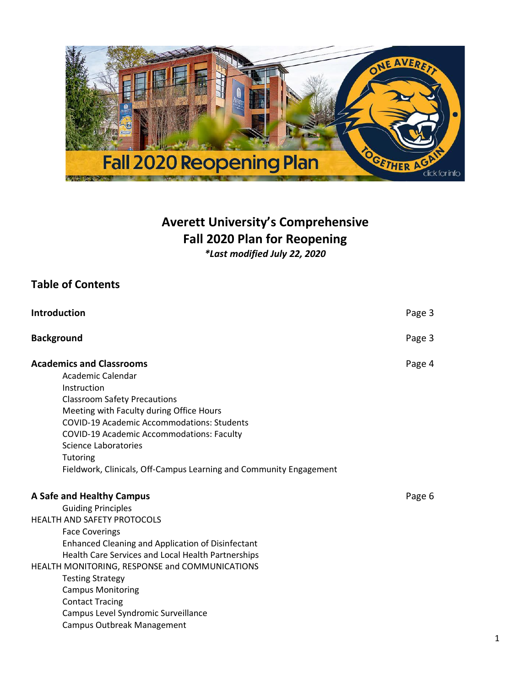

# **Averett University's Comprehensive Fall 2020 Plan for Reopening**

*\*Last modified July 22, 2020*

# **Table of Contents**

| Introduction                                                                                                                                                                                                                                                                                                                                                                                                                             | Page 3 |
|------------------------------------------------------------------------------------------------------------------------------------------------------------------------------------------------------------------------------------------------------------------------------------------------------------------------------------------------------------------------------------------------------------------------------------------|--------|
| <b>Background</b>                                                                                                                                                                                                                                                                                                                                                                                                                        | Page 3 |
| <b>Academics and Classrooms</b><br>Academic Calendar<br>Instruction<br><b>Classroom Safety Precautions</b><br>Meeting with Faculty during Office Hours<br>COVID-19 Academic Accommodations: Students<br>COVID-19 Academic Accommodations: Faculty<br>Science Laboratories<br>Tutoring<br>Fieldwork, Clinicals, Off-Campus Learning and Community Engagement                                                                              | Page 4 |
| A Safe and Healthy Campus<br><b>Guiding Principles</b><br><b>HEALTH AND SAFETY PROTOCOLS</b><br><b>Face Coverings</b><br>Enhanced Cleaning and Application of Disinfectant<br>Health Care Services and Local Health Partnerships<br>HEALTH MONITORING, RESPONSE and COMMUNICATIONS<br><b>Testing Strategy</b><br><b>Campus Monitoring</b><br><b>Contact Tracing</b><br>Campus Level Syndromic Surveillance<br>Campus Outbreak Management | Page 6 |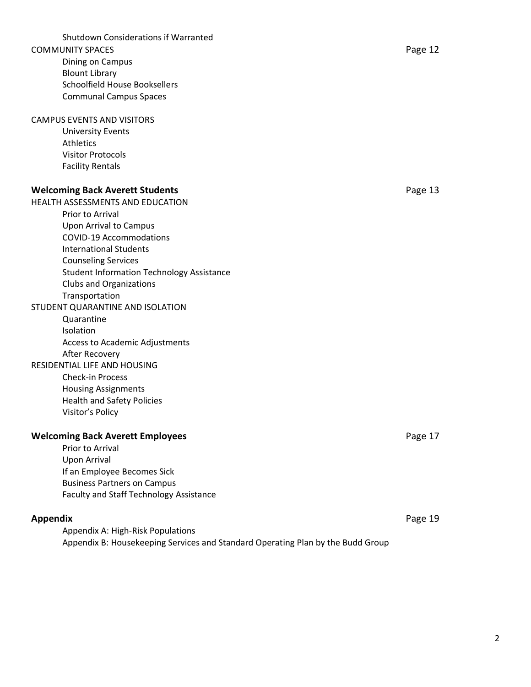Shutdown Considerations if Warranted COMMUNITY SPACES **Page 12** Dining on Campus Blount Library Schoolfield House Booksellers Communal Campus Spaces

# CAMPUS EVENTS AND VISITORS

University Events Athletics Visitor Protocols Facility Rentals

#### **Welcoming Back Averett Students Page 13**

HEALTH ASSESSMENTS AND EDUCATION

- Prior to Arrival Upon Arrival to Campus COVID-19 Accommodations International Students Counseling Services Student Information Technology Assistance Clubs and Organizations Transportation STUDENT QUARANTINE AND ISOLATION
	- Quarantine Isolation Access to Academic Adjustments After Recovery

#### RESIDENTIAL LIFE AND HOUSING

Check-in Process Housing Assignments Health and Safety Policies Visitor's Policy

#### **Welcoming Back Averett Employees Page 17 Page 17**

Prior to Arrival Upon Arrival If an Employee Becomes Sick Business Partners on Campus Faculty and Staff Technology Assistance

#### **Appendix** Page 19

Appendix A: High-Risk Populations Appendix B: Housekeeping Services and Standard Operating Plan by the Budd Group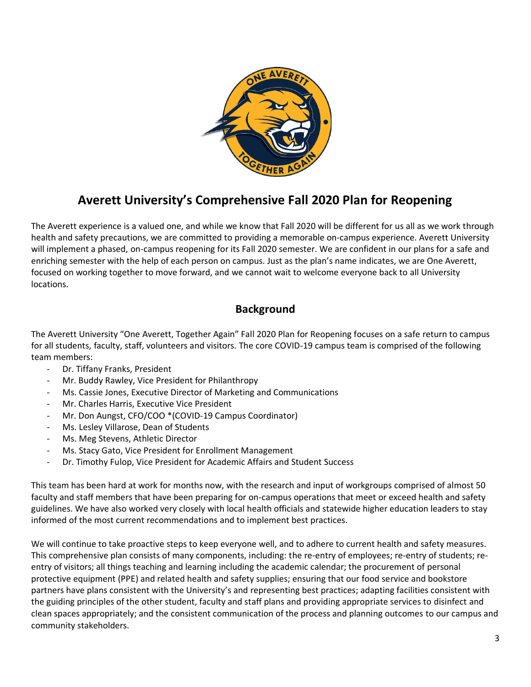

# **Averett University's Comprehensive Fall 2020 Plan for Reopening**

The Averett experience is a valued one, and while we know that Fall 2020 will be different for us all as we work through health and safety precautions, we are committed to providing a memorable on-campus experience. Averett University will implement a phased, on-campus reopening for its Fall 2020 semester. We are confident in our plans for a safe and enriching semester with the help of each person on campus. Just as the plan's name indicates, we are One Averett, focused on working together to move forward, and we cannot wait to welcome everyone back to all University locations.

# **Background**

The Averett University "One Averett, Together Again" Fall 2020 Plan for Reopening focuses on a safe return to campus for all students, faculty, staff, volunteers and visitors. The core COVID-19 campus team is comprised of the following team members:

- Dr. Tiffany Franks, President
- Mr. Buddy Rawley, Vice President for Philanthropy
- Ms. Cassie Jones, Executive Director of Marketing and Communications
- Mr. Charles Harris, Executive Vice President
- Mr. Don Aungst, CFO/COO \*(COVID-19 Campus Coordinator)
- Ms. Lesley Villarose, Dean of Students
- Ms. Meg Stevens, Athletic Director
- Ms. Stacy Gato, Vice President for Enrollment Management
- Dr. Timothy Fulop, Vice President for Academic Affairs and Student Success

This team has been hard at work for months now, with the research and input of workgroups comprised of almost 50 faculty and staff members that have been preparing for on-campus operations that meet or exceed health and safety guidelines. We have also worked very closely with local health officials and statewide higher education leaders to stay informed of the most current recommendations and to implement best practices.

We will continue to take proactive steps to keep everyone well, and to adhere to current health and safety measures. This comprehensive plan consists of many components, including: the re-entry of employees; re-entry of students; reentry of visitors; all things teaching and learning including the academic calendar; the procurement of personal protective equipment (PPE) and related health and safety supplies; ensuring that our food service and bookstore partners have plans consistent with the University's and representing best practices; adapting facilities consistent with the guiding principles of the other student, faculty and staff plans and providing appropriate services to disinfect and clean spaces appropriately; and the consistent communication of the process and planning outcomes to our campus and community stakeholders.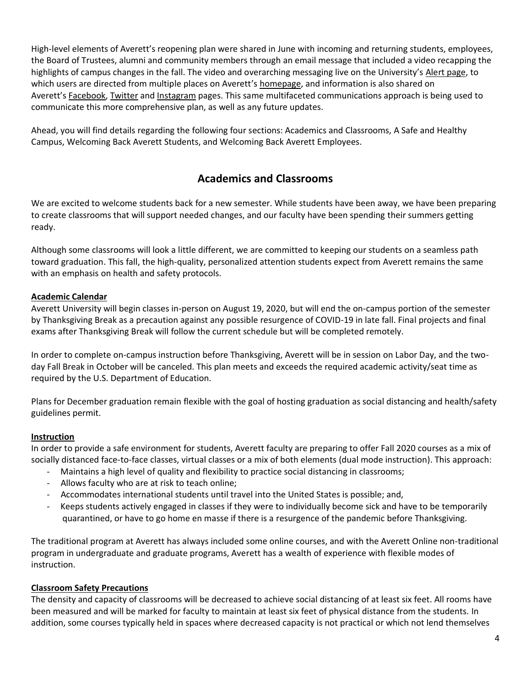High-level elements of Averett's reopening plan were shared in June with incoming and returning students, employees, the Board of Trustees, alumni and community members through an email message that included a video recapping the highlights of campus changes in the fall. The video and overarching messaging live on the University's [Alert page,](https://www.averett.edu/student-life/campus-security/livesafe/) to which users are directed from multiple places on Averett's [homepage,](https://www.averett.edu/) and information is also shared on Averett's [Facebook,](https://www.facebook.com/AverettU/) [Twitter](https://twitter.com/AverettU1859) and [Instagram](https://www.instagram.com/averettnews/) pages. This same multifaceted communications approach is being used to communicate this more comprehensive plan, as well as any future updates.

Ahead, you will find details regarding the following four sections: Academics and Classrooms, A Safe and Healthy Campus, Welcoming Back Averett Students, and Welcoming Back Averett Employees.

# **Academics and Classrooms**

We are excited to welcome students back for a new semester. While students have been away, we have been preparing to create classrooms that will support needed changes, and our faculty have been spending their summers getting ready.

Although some classrooms will look a little different, we are committed to keeping our students on a seamless path toward graduation. This fall, the high-quality, personalized attention students expect from Averett remains the same with an emphasis on health and safety protocols.

# **Academic Calendar**

Averett University will begin classes in-person on August 19, 2020, but will end the on-campus portion of the semester by Thanksgiving Break as a precaution against any possible resurgence of COVID-19 in late fall. Final projects and final exams after Thanksgiving Break will follow the current schedule but will be completed remotely.

In order to complete on-campus instruction before Thanksgiving, Averett will be in session on Labor Day, and the twoday Fall Break in October will be canceled. This plan meets and exceeds the required academic activity/seat time as required by the U.S. Department of Education.

Plans for December graduation remain flexible with the goal of hosting graduation as social distancing and health/safety guidelines permit.

#### **Instruction**

In order to provide a safe environment for students, Averett faculty are preparing to offer Fall 2020 courses as a mix of socially distanced face-to-face classes, virtual classes or a mix of both elements (dual mode instruction). This approach:

- Maintains a high level of quality and flexibility to practice social distancing in classrooms;
- Allows faculty who are at risk to teach online;
- Accommodates international students until travel into the United States is possible; and,
- Keeps students actively engaged in classes if they were to individually become sick and have to be temporarily quarantined, or have to go home en masse if there is a resurgence of the pandemic before Thanksgiving.

The traditional program at Averett has always included some online courses, and with the Averett Online non-traditional program in undergraduate and graduate programs, Averett has a wealth of experience with flexible modes of instruction.

#### **Classroom Safety Precautions**

The density and capacity of classrooms will be decreased to achieve social distancing of at least six feet. All rooms have been measured and will be marked for faculty to maintain at least six feet of physical distance from the students. In addition, some courses typically held in spaces where decreased capacity is not practical or which not lend themselves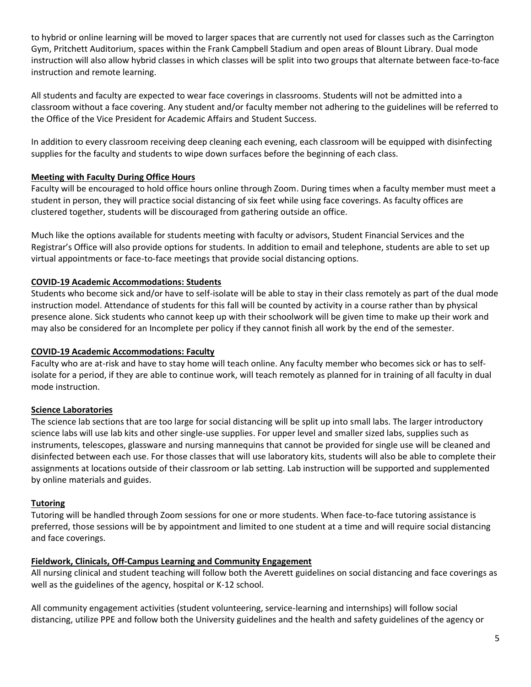to hybrid or online learning will be moved to larger spaces that are currently not used for classes such as the Carrington Gym, Pritchett Auditorium, spaces within the Frank Campbell Stadium and open areas of Blount Library. Dual mode instruction will also allow hybrid classes in which classes will be split into two groups that alternate between face-to-face instruction and remote learning.

All students and faculty are expected to wear face coverings in classrooms. Students will not be admitted into a classroom without a face covering. Any student and/or faculty member not adhering to the guidelines will be referred to the Office of the Vice President for Academic Affairs and Student Success.

In addition to every classroom receiving deep cleaning each evening, each classroom will be equipped with disinfecting supplies for the faculty and students to wipe down surfaces before the beginning of each class.

# **Meeting with Faculty During Office Hours**

Faculty will be encouraged to hold office hours online through Zoom. During times when a faculty member must meet a student in person, they will practice social distancing of six feet while using face coverings. As faculty offices are clustered together, students will be discouraged from gathering outside an office.

Much like the options available for students meeting with faculty or advisors, Student Financial Services and the Registrar's Office will also provide options for students. In addition to email and telephone, students are able to set up virtual appointments or face-to-face meetings that provide social distancing options.

# **COVID-19 Academic Accommodations: Students**

Students who become sick and/or have to self-isolate will be able to stay in their class remotely as part of the dual mode instruction model. Attendance of students for this fall will be counted by activity in a course rather than by physical presence alone. Sick students who cannot keep up with their schoolwork will be given time to make up their work and may also be considered for an Incomplete per policy if they cannot finish all work by the end of the semester.

# **COVID-19 Academic Accommodations: Faculty**

Faculty who are at-risk and have to stay home will teach online. Any faculty member who becomes sick or has to selfisolate for a period, if they are able to continue work, will teach remotely as planned for in training of all faculty in dual mode instruction.

# **Science Laboratories**

The science lab sections that are too large for social distancing will be split up into small labs. The larger introductory science labs will use lab kits and other single-use supplies. For upper level and smaller sized labs, supplies such as instruments, telescopes, glassware and nursing mannequins that cannot be provided for single use will be cleaned and disinfected between each use. For those classes that will use laboratory kits, students will also be able to complete their assignments at locations outside of their classroom or lab setting. Lab instruction will be supported and supplemented by online materials and guides.

# **Tutoring**

Tutoring will be handled through Zoom sessions for one or more students. When face-to-face tutoring assistance is preferred, those sessions will be by appointment and limited to one student at a time and will require social distancing and face coverings.

# **Fieldwork, Clinicals, Off-Campus Learning and Community Engagement**

All nursing clinical and student teaching will follow both the Averett guidelines on social distancing and face coverings as well as the guidelines of the agency, hospital or K-12 school.

All community engagement activities (student volunteering, service-learning and internships) will follow social distancing, utilize PPE and follow both the University guidelines and the health and safety guidelines of the agency or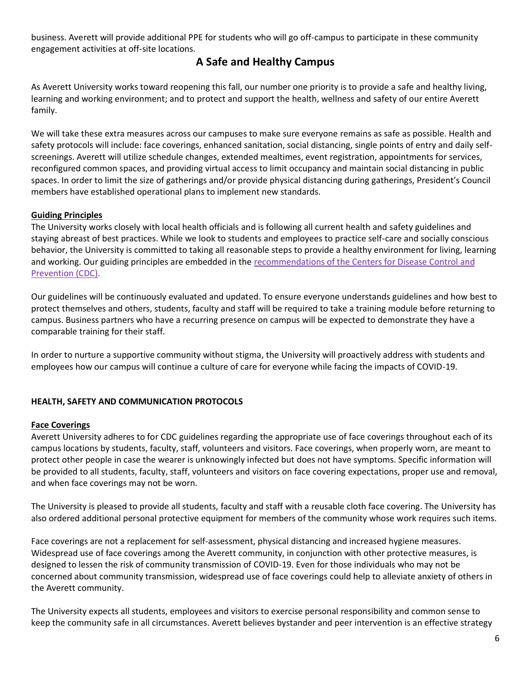business. Averett will provide additional PPE for students who will go off-campus to participate in these community engagement activities at off-site locations.

# **A Safe and Healthy Campus**

As Averett University works toward reopening this fall, our number one priority is to provide a safe and healthy living, learning and working environment; and to protect and support the health, wellness and safety of our entire Averett family.

We will take these extra measures across our campuses to make sure everyone remains as safe as possible. Health and safety protocols will include: face coverings, enhanced sanitation, social distancing, single points of entry and daily selfscreenings. Averett will utilize schedule changes, extended mealtimes, event registration, appointments for services, reconfigured common spaces, and providing virtual access to limit occupancy and maintain social distancing in public spaces. In order to limit the size of gatherings and/or provide physical distancing during gatherings, President's Council members have established operational plans to implement new standards.

# **Guiding Principles**

The University works closely with local health officials and is following all current health and safety guidelines and staying abreast of best practices. While we look to students and employees to practice self-care and socially conscious behavior, the University is committed to taking all reasonable steps to provide a healthy environment for living, learning and working. Our guiding principles are embedded in the [recommendations of the Centers for Disease Control](https://www.cdc.gov/coronavirus/2019-ncov/community/colleges-universities/considerations.html) and [Prevention \(CDC\)](https://www.cdc.gov/coronavirus/2019-ncov/community/colleges-universities/considerations.html).

Our guidelines will be continuously evaluated and updated. To ensure everyone understands guidelines and how best to protect themselves and others, students, faculty and staff will be required to take a training module before returning to campus. Business partners who have a recurring presence on campus will be expected to demonstrate they have a comparable training for their staff.

In order to nurture a supportive community without stigma, the University will proactively address with students and employees how our campus will continue a culture of care for everyone while facing the impacts of COVID-19.

# **HEALTH, SAFETY AND COMMUNICATION PROTOCOLS**

#### **Face Coverings**

Averett University adheres to for CDC guidelines regarding the appropriate use of face coverings throughout each of its campus locations by students, faculty, staff, volunteers and visitors. Face coverings, when properly worn, are meant to protect other people in case the wearer is unknowingly infected but does not have symptoms. Specific information will be provided to all students, faculty, staff, volunteers and visitors on face covering expectations, proper use and removal, and when face coverings may not be worn.

The University is pleased to provide all students, faculty and staff with a reusable cloth face covering. The University has also ordered additional personal protective equipment for members of the community whose work requires such items.

Face coverings are not a replacement for self-assessment, physical distancing and increased hygiene measures. Widespread use of face coverings among the Averett community, in conjunction with other protective measures, is designed to lessen the risk of community transmission of COVID-19. Even for those individuals who may not be concerned about community transmission, widespread use of face coverings could help to alleviate anxiety of others in the Averett community.

The University expects all students, employees and visitors to exercise personal responsibility and common sense to keep the community safe in all circumstances. Averett believes bystander and peer intervention is an effective strategy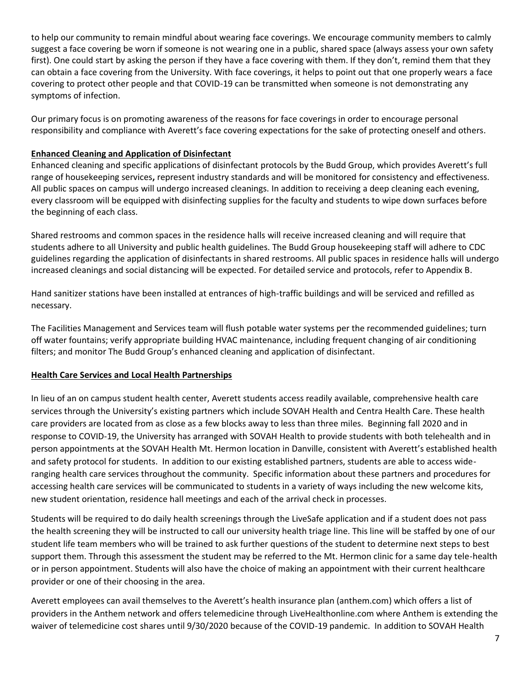to help our community to remain mindful about wearing face coverings. We encourage community members to calmly suggest a face covering be worn if someone is not wearing one in a public, shared space (always assess your own safety first). One could start by asking the person if they have a face covering with them. If they don't, remind them that they can obtain a face covering from the University. With face coverings, it helps to point out that one properly wears a face covering to protect other people and that COVID-19 can be transmitted when someone is not demonstrating any symptoms of infection.

Our primary focus is on promoting awareness of the reasons for face coverings in order to encourage personal responsibility and compliance with Averett's face covering expectations for the sake of protecting oneself and others.

# **Enhanced Cleaning and Application of Disinfectant**

Enhanced cleaning and specific applications of disinfectant protocols by the Budd Group, which provides Averett's full range of housekeeping services**,** represent industry standards and will be monitored for consistency and effectiveness. All public spaces on campus will undergo increased cleanings. In addition to receiving a deep cleaning each evening, every classroom will be equipped with disinfecting supplies for the faculty and students to wipe down surfaces before the beginning of each class.

Shared restrooms and common spaces in the residence halls will receive increased cleaning and will require that students adhere to all University and public health guidelines. The Budd Group housekeeping staff will adhere to CDC guidelines regarding the application of disinfectants in shared restrooms. All public spaces in residence halls will undergo increased cleanings and social distancing will be expected. For detailed service and protocols, refer to Appendix B.

Hand sanitizer stations have been installed at entrances of high-traffic buildings and will be serviced and refilled as necessary.

The Facilities Management and Services team will flush potable water systems per the recommended guidelines; turn off water fountains; verify appropriate building HVAC maintenance, including frequent changing of air conditioning filters; and monitor The Budd Group's enhanced cleaning and application of disinfectant.

# **Health Care Services and Local Health Partnerships**

In lieu of an on campus student health center, Averett students access readily available, comprehensive health care services through the University's existing partners which include SOVAH Health and Centra Health Care. These health care providers are located from as close as a few blocks away to less than three miles. Beginning fall 2020 and in response to COVID-19, the University has arranged with SOVAH Health to provide students with both telehealth and in person appointments at the SOVAH Health Mt. Hermon location in Danville, consistent with Averett's established health and safety protocol for students. In addition to our existing established partners, students are able to access wideranging health care services throughout the community. Specific information about these partners and procedures for accessing health care services will be communicated to students in a variety of ways including the new welcome kits, new student orientation, residence hall meetings and each of the arrival check in processes.

Students will be required to do daily health screenings through the LiveSafe application and if a student does not pass the health screening they will be instructed to call our university health triage line. This line will be staffed by one of our student life team members who will be trained to ask further questions of the student to determine next steps to best support them. Through this assessment the student may be referred to the Mt. Hermon clinic for a same day tele-health or in person appointment. Students will also have the choice of making an appointment with their current healthcare provider or one of their choosing in the area.

Averett employees can avail themselves to the Averett's health insurance plan (anthem.com) which offers a list of providers in the Anthem network and offers telemedicine through LiveHealthonline.com where Anthem is extending the waiver of telemedicine cost shares until 9/30/2020 because of the COVID-19 pandemic. In addition to SOVAH Health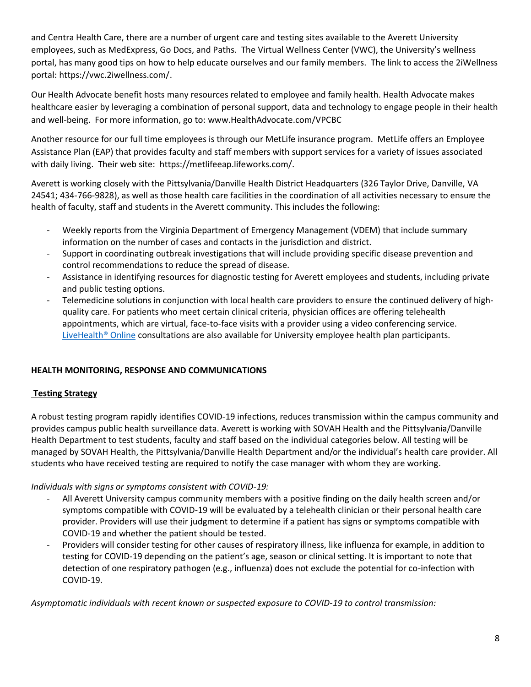and Centra Health Care, there are a number of urgent care and testing sites available to the Averett University employees, such as MedExpress, Go Docs, and Paths. The Virtual Wellness Center (VWC), the University's wellness portal, has many good tips on how to help educate ourselves and our family members. The link to access the 2iWellness portal: [https://vwc.2iwellness.com/.](https://vwc.2iwellness.com/)

Our Health Advocate benefit hosts many resources related to employee and family health. Health Advocate makes healthcare easier by leveraging a combination of personal support, data and technology to engage people in their health and well-being. For more information, go to: [www.HealthAdvocate.com/VPCBC](http://www.healthadvocate.com/VPCBC) 

Another resource for our full time employees is through our MetLife insurance program. MetLife offers an Employee Assistance Plan (EAP) that provides faculty and staff members with support services for a variety of issues associated with daily living. Their web site: [https://metlifeeap.lifeworks.com/.](https://metlifeeap.lifeworks.com/)

Averett is working closely with the Pittsylvania/Danville Health District Headquarters (326 Taylor Drive, Danville, VA 24541; 434-766-9828), as well as those health care facilities in the coordination of all activities necessary to ensure the health of faculty, staff and students in the Averett community. This includes the following:

- Weekly reports from the Virginia Department of Emergency Management (VDEM) that include summary information on the number of cases and contacts in the jurisdiction and district.
- Support in coordinating outbreak investigations that will include providing specific disease prevention and control recommendations to reduce the spread of disease.
- Assistance in identifying resources for diagnostic testing for Averett employees and students, including private and public testing options.
- Telemedicine solutions in conjunction with local health care providers to ensure the continued delivery of highquality care. For patients who meet certain clinical criteria, physician offices are offering telehealth appointments, which are virtual, face-to-face visits with a provider using a video conferencing service. LiveHealth<sup>®</sup> Online consultations are also available for University employee health plan participants.

# **HEALTH MONITORING, RESPONSE AND COMMUNICATIONS**

# **Testing Strategy**

A robust testing program rapidly identifies COVID-19 infections, reduces transmission within the campus community and provides campus public health surveillance data. Averett is working with SOVAH Health and the Pittsylvania/Danville Health Department to test students, faculty and staff based on the individual categories below. All testing will be managed by SOVAH Health, the Pittsylvania/Danville Health Department and/or the individual's health care provider. All students who have received testing are required to notify the case manager with whom they are working.

# *Individuals with signs or symptoms consistent with COVID-19:*

- All Averett University campus community members with a positive finding on the daily health screen and/or symptoms compatible with COVID-19 will be evaluated by a telehealth clinician or their personal health care provider. Providers will use their judgment to determine if a patient has signs or symptoms compatible with COVID-19 and whether the patient should be tested.
- Providers will consider testing for other causes of respiratory illness, like influenza for example, in addition to testing for COVID-19 depending on the patient's age, season or clinical setting. It is important to note that detection of one respiratory pathogen (e.g., influenza) does not exclude the potential for co-infection with COVID-19.

*Asymptomatic individuals with recent known or suspected exposure to COVID-19 to control transmission:*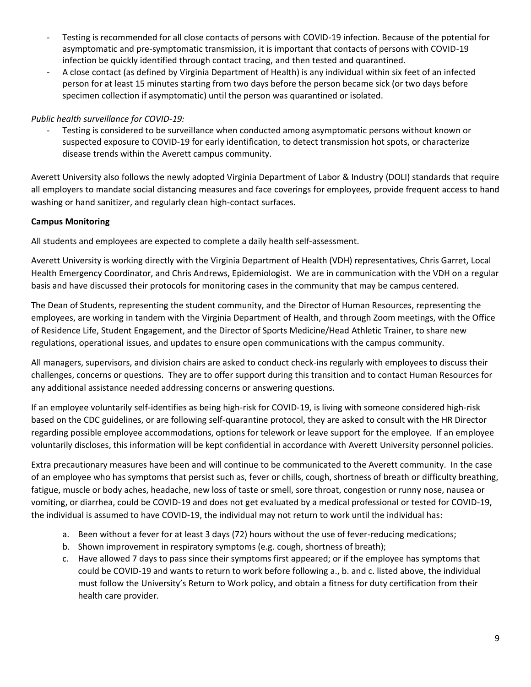- Testing is recommended for all close contacts of persons with COVID-19 infection. Because of the potential for asymptomatic and pre-symptomatic transmission, it is important that contacts of persons with COVID-19 infection be quickly identified through contact tracing, and then tested and quarantined.
- A close contact (as defined by Virginia Department of Health) is any individual within six feet of an infected person for at least 15 minutes starting from two days before the person became sick (or two days before specimen collection if asymptomatic) until the person was quarantined or isolated.

# *Public health surveillance for COVID-19:*

Testing is considered to be surveillance when conducted among asymptomatic persons without known or suspected exposure to COVID-19 for early identification, to detect transmission hot spots, or characterize disease trends within the Averett campus community.

Averett University also follows the newly adopted Virginia Department of Labor & Industry (DOLI) standards that require all employers to mandate social distancing measures and face coverings for employees, provide frequent access to hand washing or hand sanitizer, and regularly clean high-contact surfaces.

# **Campus Monitoring**

All students and employees are expected to complete a daily health self-assessment.

Averett University is working directly with the Virginia Department of Health (VDH) representatives, Chris Garret, Local Health Emergency Coordinator, and Chris Andrews, Epidemiologist. We are in communication with the VDH on a regular basis and have discussed their protocols for monitoring cases in the community that may be campus centered.

The Dean of Students, representing the student community, and the Director of Human Resources, representing the employees, are working in tandem with the Virginia Department of Health, and through Zoom meetings, with the Office of Residence Life, Student Engagement, and the Director of Sports Medicine/Head Athletic Trainer, to share new regulations, operational issues, and updates to ensure open communications with the campus community.

All managers, supervisors, and division chairs are asked to conduct check-ins regularly with employees to discuss their challenges, concerns or questions. They are to offer support during this transition and to contact Human Resources for any additional assistance needed addressing concerns or answering questions.

If an employee voluntarily self-identifies as being high-risk for COVID-19, is living with someone considered high-risk based on the CDC guidelines, or are following self-quarantine protocol, they are asked to consult with the HR Director regarding possible employee accommodations, options for telework or leave support for the employee. If an employee voluntarily discloses, this information will be kept confidential in accordance with Averett University personnel policies.

Extra precautionary measures have been and will continue to be communicated to the Averett community. In the case of an employee who has symptoms that persist such as, fever or chills, cough, shortness of breath or difficulty breathing, fatigue, muscle or body aches, headache, new loss of taste or smell, sore throat, congestion or runny nose, nausea or vomiting, or diarrhea, could be COVID-19 and does not get evaluated by a medical professional or tested for COVID-19, the individual is assumed to have COVID-19, the individual may not return to work until the individual has:

- a. Been without a fever for at least 3 days (72) hours without the use of fever-reducing medications;
- b. Shown improvement in respiratory symptoms (e.g. cough, shortness of breath);
- c. Have allowed 7 days to pass since their symptoms first appeared; or if the employee has symptoms that could be COVID-19 and wants to return to work before following a., b. and c. listed above, the individual must follow the University's Return to Work policy, and obtain a fitness for duty certification from their health care provider.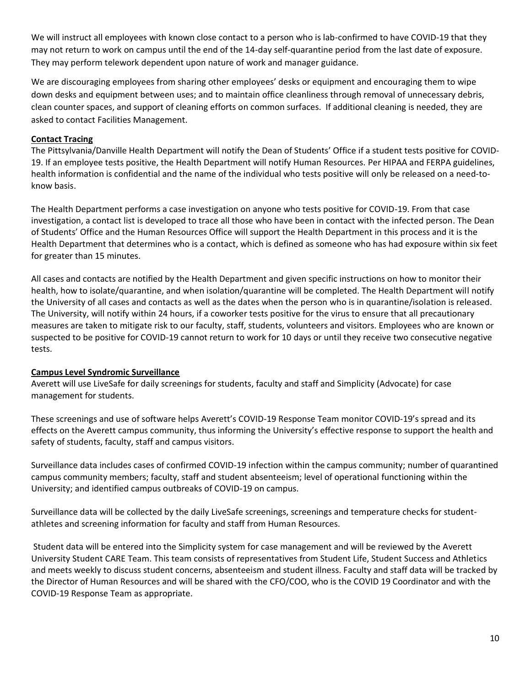We will instruct all employees with known close contact to a person who is lab-confirmed to have COVID-19 that they may not return to work on campus until the end of the 14-day self-quarantine period from the last date of exposure. They may perform telework dependent upon nature of work and manager guidance.

We are discouraging employees from sharing other employees' desks or equipment and encouraging them to wipe down desks and equipment between uses; and to maintain office cleanliness through removal of unnecessary debris, clean counter spaces, and support of cleaning efforts on common surfaces. If additional cleaning is needed, they are asked to contact Facilities Management.

## **Contact Tracing**

The Pittsylvania/Danville Health Department will notify the Dean of Students' Office if a student tests positive for COVID-19. If an employee tests positive, the Health Department will notify Human Resources. Per HIPAA and FERPA guidelines, health information is confidential and the name of the individual who tests positive will only be released on a need-toknow basis.

The Health Department performs a case investigation on anyone who tests positive for COVID-19. From that case investigation, a contact list is developed to trace all those who have been in contact with the infected person. The Dean of Students' Office and the Human Resources Office will support the Health Department in this process and it is the Health Department that determines who is a contact, which is defined as someone who has had exposure within six feet for greater than 15 minutes.

All cases and contacts are notified by the Health Department and given specific instructions on how to monitor their health, how to isolate/quarantine, and when isolation/quarantine will be completed. The Health Department will notify the University of all cases and contacts as well as the dates when the person who is in quarantine/isolation is released. The University, will notify within 24 hours, if a coworker tests positive for the virus to ensure that all precautionary measures are taken to mitigate risk to our faculty, staff, students, volunteers and visitors. Employees who are known or suspected to be positive for COVID-19 cannot return to work for 10 days or until they receive two consecutive negative tests.

# **Campus Level Syndromic Surveillance**

Averett will use LiveSafe for daily screenings for students, faculty and staff and Simplicity (Advocate) for case management for students.

These screenings and use of software helps Averett's COVID-19 Response Team monitor COVID-19's spread and its effects on the Averett campus community, thus informing the University's effective response to support the health and safety of students, faculty, staff and campus visitors. 

Surveillance data includes cases of confirmed COVID-19 infection within the campus community; number of quarantined campus community members; faculty, staff and student absenteeism; level of operational functioning within the University; and identified campus outbreaks of COVID-19 on campus.

Surveillance data will be collected by the daily LiveSafe screenings, screenings and temperature checks for studentathletes and screening information for faculty and staff from Human Resources.

Student data will be entered into the Simplicity system for case management and will be reviewed by the Averett University Student CARE Team. This team consists of representatives from Student Life, Student Success and Athletics and meets weekly to discuss student concerns, absenteeism and student illness. Faculty and staff data will be tracked by the Director of Human Resources and will be shared with the CFO/COO, who is the COVID 19 Coordinator and with the COVID-19 Response Team as appropriate.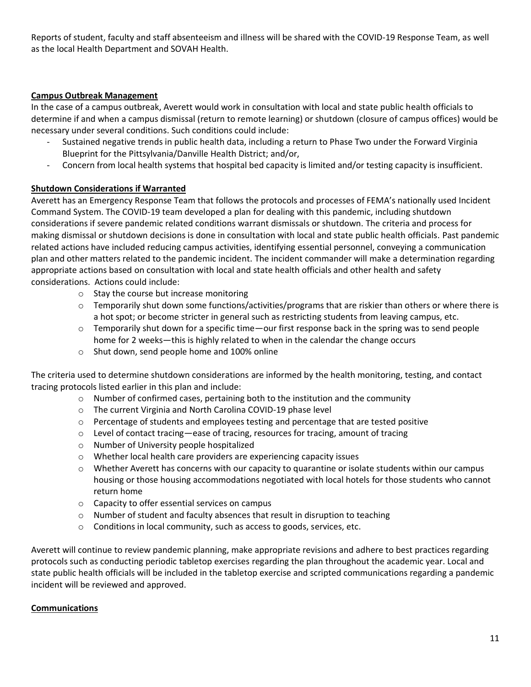Reports of student, faculty and staff absenteeism and illness will be shared with the COVID-19 Response Team, as well as the local Health Department and SOVAH Health.

# **Campus Outbreak Management**

In the case of a campus outbreak, Averett would work in consultation with local and state public health officials to determine if and when a campus dismissal (return to remote learning) or shutdown (closure of campus offices) would be necessary under several conditions. Such conditions could include:

- Sustained negative trends in public health data, including a return to Phase Two under the Forward Virginia Blueprint for the Pittsylvania/Danville Health District; and/or,
- Concern from local health systems that hospital bed capacity is limited and/or testing capacity is insufficient.

# **Shutdown Considerations if Warranted**

Averett has an Emergency Response Team that follows the protocols and processes of FEMA's nationally used Incident Command System. The COVID-19 team developed a plan for dealing with this pandemic, including shutdown considerations if severe pandemic related conditions warrant dismissals or shutdown. The criteria and process for making dismissal or shutdown decisions is done in consultation with local and state public health officials. Past pandemic related actions have included reducing campus activities, identifying essential personnel, conveying a communication plan and other matters related to the pandemic incident. The incident commander will make a determination regarding appropriate actions based on consultation with local and state health officials and other health and safety considerations. Actions could include:

- o Stay the course but increase monitoring
- $\circ$  Temporarily shut down some functions/activities/programs that are riskier than others or where there is a hot spot; or become stricter in general such as restricting students from leaving campus, etc.
- $\circ$  Temporarily shut down for a specific time—our first response back in the spring was to send people home for 2 weeks—this is highly related to when in the calendar the change occurs
- o Shut down, send people home and 100% online

The criteria used to determine shutdown considerations are informed by the health monitoring, testing, and contact tracing protocols listed earlier in this plan and include:

- $\circ$  Number of confirmed cases, pertaining both to the institution and the community
- o The current Virginia and North Carolina COVID-19 phase level
- $\circ$  Percentage of students and employees testing and percentage that are tested positive
- $\circ$  Level of contact tracing—ease of tracing, resources for tracing, amount of tracing
- o Number of University people hospitalized
- o Whether local health care providers are experiencing capacity issues
- $\circ$  Whether Averett has concerns with our capacity to quarantine or isolate students within our campus housing or those housing accommodations negotiated with local hotels for those students who cannot return home
- o Capacity to offer essential services on campus
- o Number of student and faculty absences that result in disruption to teaching
- $\circ$  Conditions in local community, such as access to goods, services, etc.

Averett will continue to review pandemic planning, make appropriate revisions and adhere to best practices regarding protocols such as conducting periodic tabletop exercises regarding the plan throughout the academic year. Local and state public health officials will be included in the tabletop exercise and scripted communications regarding a pandemic incident will be reviewed and approved.

# **Communications**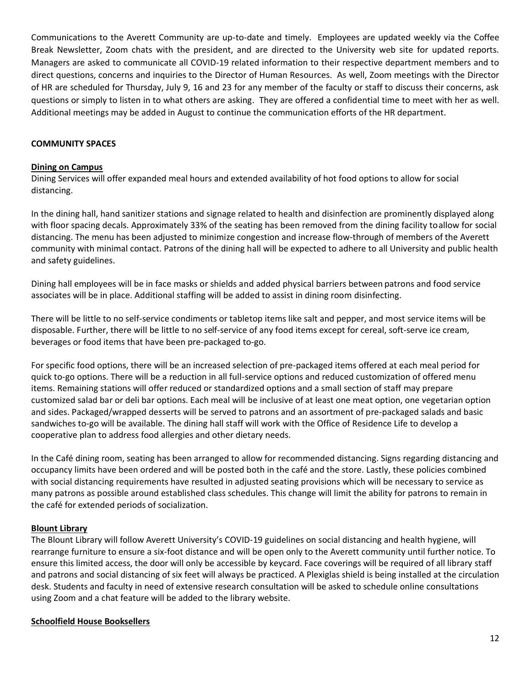Communications to the Averett Community are up-to-date and timely. Employees are updated weekly via the Coffee Break Newsletter, Zoom chats with the president, and are directed to the University web site for updated reports. Managers are asked to communicate all COVID-19 related information to their respective department members and to direct questions, concerns and inquiries to the Director of Human Resources. As well, Zoom meetings with the Director of HR are scheduled for Thursday, July 9, 16 and 23 for any member of the faculty or staff to discuss their concerns, ask questions or simply to listen in to what others are asking. They are offered a confidential time to meet with her as well. Additional meetings may be added in August to continue the communication efforts of the HR department.

#### **COMMUNITY SPACES**

#### **Dining on Campus**

Dining Services will offer expanded meal hours and extended availability of hot food options to allow for social distancing.

In the dining hall, hand sanitizer stations and signage related to health and disinfection are prominently displayed along with floor spacing decals. Approximately 33% of the seating has been removed from the dining facility to allow for social distancing. The menu has been adjusted to minimize congestion and increase flow-through of members of the Averett community with minimal contact. Patrons of the dining hall will be expected to adhere to all University and public health and safety guidelines.

Dining hall employees will be in face masks or shields and added physical barriers between patrons and food service associates will be in place. Additional staffing will be added to assist in dining room disinfecting.

There will be little to no self-service condiments or tabletop items like salt and pepper, and most service items will be disposable. Further, there will be little to no self-service of any food items except for cereal, soft-serve ice cream, beverages or food items that have been pre-packaged to-go.

For specific food options, there will be an increased selection of pre-packaged items offered at each meal period for quick to-go options. There will be a reduction in all full-service options and reduced customization of offered menu items. Remaining stations will offer reduced or standardized options and a small section of staff may prepare customized salad bar or deli bar options. Each meal will be inclusive of at least one meat option, one vegetarian option and sides. Packaged/wrapped desserts will be served to patrons and an assortment of pre-packaged salads and basic sandwiches to-go will be available. The dining hall staff will work with the Office of Residence Life to develop a cooperative plan to address food allergies and other dietary needs.

In the Café dining room, seating has been arranged to allow for recommended distancing. Signs regarding distancing and occupancy limits have been ordered and will be posted both in the café and the store. Lastly, these policies combined with social distancing requirements have resulted in adjusted seating provisions which will be necessary to service as many patrons as possible around established class schedules. This change will limit the ability for patrons to remain in the café for extended periods of socialization.

#### **Blount Library**

The Blount Library will follow Averett University's COVID-19 guidelines on social distancing and health hygiene, will rearrange furniture to ensure a six-foot distance and will be open only to the Averett community until further notice. To ensure this limited access, the door will only be accessible by keycard. Face coverings will be required of all library staff and patrons and social distancing of six feet will always be practiced. A Plexiglas shield is being installed at the circulation desk. Students and faculty in need of extensive research consultation will be asked to schedule online consultations using Zoom and a chat feature will be added to the library website.

#### **Schoolfield House Booksellers**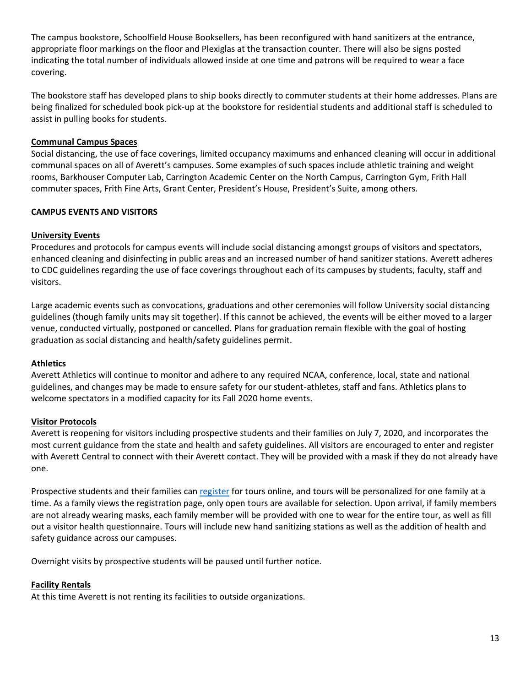The campus bookstore, Schoolfield House Booksellers, has been reconfigured with hand sanitizers at the entrance, appropriate floor markings on the floor and Plexiglas at the transaction counter. There will also be signs posted indicating the total number of individuals allowed inside at one time and patrons will be required to wear a face covering.

The bookstore staff has developed plans to ship books directly to commuter students at their home addresses. Plans are being finalized for scheduled book pick-up at the bookstore for residential students and additional staff is scheduled to assist in pulling books for students.

## **Communal Campus Spaces**

Social distancing, the use of face coverings, limited occupancy maximums and enhanced cleaning will occur in additional communal spaces on all of Averett's campuses. Some examples of such spaces include athletic training and weight rooms, Barkhouser Computer Lab, Carrington Academic Center on the North Campus, Carrington Gym, Frith Hall commuter spaces, Frith Fine Arts, Grant Center, President's House, President's Suite, among others.

## **CAMPUS EVENTS AND VISITORS**

#### **University Events**

Procedures and protocols for campus events will include social distancing amongst groups of visitors and spectators, enhanced cleaning and disinfecting in public areas and an increased number of hand sanitizer stations. Averett adheres to CDC guidelines regarding the use of face coverings throughout each of its campuses by students, faculty, staff and visitors.

Large academic events such as convocations, graduations and other ceremonies will follow University social distancing guidelines (though family units may sit together). If this cannot be achieved, the events will be either moved to a larger venue, conducted virtually, postponed or cancelled. Plans for graduation remain flexible with the goal of hosting graduation as social distancing and health/safety guidelines permit.

#### **Athletics**

Averett Athletics will continue to monitor and adhere to any required NCAA, conference, local, state and national guidelines, and changes may be made to ensure safety for our student-athletes, staff and fans. Athletics plans to welcome spectators in a modified capacity for its Fall 2020 home events.

#### **Visitor Protocols**

Averett is reopening for visitors including prospective students and their families on July 7, 2020, and incorporates the most current guidance from the state and health and safety guidelines. All visitors are encouraged to enter and register with Averett Central to connect with their Averett contact. They will be provided with a mask if they do not already have one.

Prospective students and their families can [register](https://admissions.averett.edu/prospective-students/visit-au/) for tours online, and tours will be personalized for one family at a time. As a family views the registration page, only open tours are available for selection. Upon arrival, if family members are not already wearing masks, each family member will be provided with one to wear for the entire tour, as well as fill out a visitor health questionnaire. Tours will include new hand sanitizing stations as well as the addition of health and safety guidance across our campuses.

Overnight visits by prospective students will be paused until further notice.

#### **Facility Rentals**

At this time Averett is not renting its facilities to outside organizations.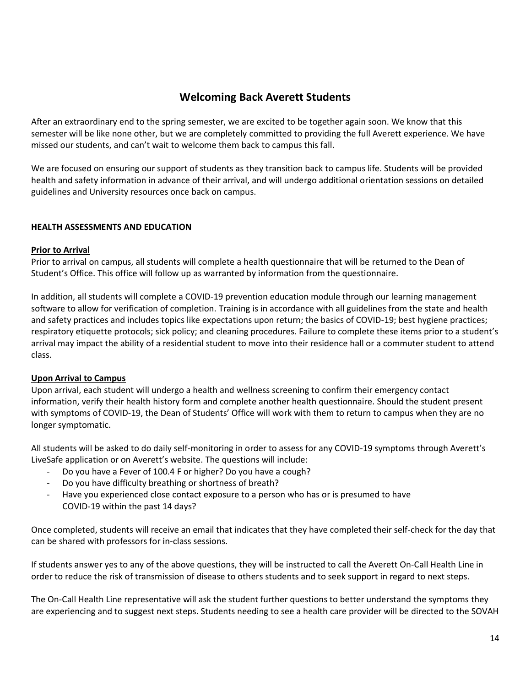# **Welcoming Back Averett Students**

After an extraordinary end to the spring semester, we are excited to be together again soon. We know that this semester will be like none other, but we are completely committed to providing the full Averett experience. We have missed our students, and can't wait to welcome them back to campus this fall.

We are focused on ensuring our support of students as they transition back to campus life. Students will be provided health and safety information in advance of their arrival, and will undergo additional orientation sessions on detailed guidelines and University resources once back on campus.

## **HEALTH ASSESSMENTS AND EDUCATION**

#### **Prior to Arrival**

Prior to arrival on campus, all students will complete a health questionnaire that will be returned to the Dean of Student's Office. This office will follow up as warranted by information from the questionnaire.

In addition, all students will complete a COVID-19 prevention education module through our learning management software to allow for verification of completion. Training is in accordance with all guidelines from the state and health and safety practices and includes topics like expectations upon return; the basics of COVID-19; best hygiene practices; respiratory etiquette protocols; sick policy; and cleaning procedures. Failure to complete these items prior to a student's arrival may impact the ability of a residential student to move into their residence hall or a commuter student to attend class.

#### **Upon Arrival to Campus**

Upon arrival, each student will undergo a health and wellness screening to confirm their emergency contact information, verify their health history form and complete another health questionnaire. Should the student present with symptoms of COVID-19, the Dean of Students' Office will work with them to return to campus when they are no longer symptomatic.

All students will be asked to do daily self-monitoring in order to assess for any COVID-19 symptoms through Averett's LiveSafe application or on Averett's website. The questions will include:

- Do you have a Fever of 100.4 F or higher? Do you have a cough?
- Do you have difficulty breathing or shortness of breath?
- Have you experienced close contact exposure to a person who has or is presumed to have COVID-19 within the past 14 days?

Once completed, students will receive an email that indicates that they have completed their self-check for the day that can be shared with professors for in-class sessions.

If students answer yes to any of the above questions, they will be instructed to call the Averett On-Call Health Line in order to reduce the risk of transmission of disease to others students and to seek support in regard to next steps.

The On-Call Health Line representative will ask the student further questions to better understand the symptoms they are experiencing and to suggest next steps. Students needing to see a health care provider will be directed to the SOVAH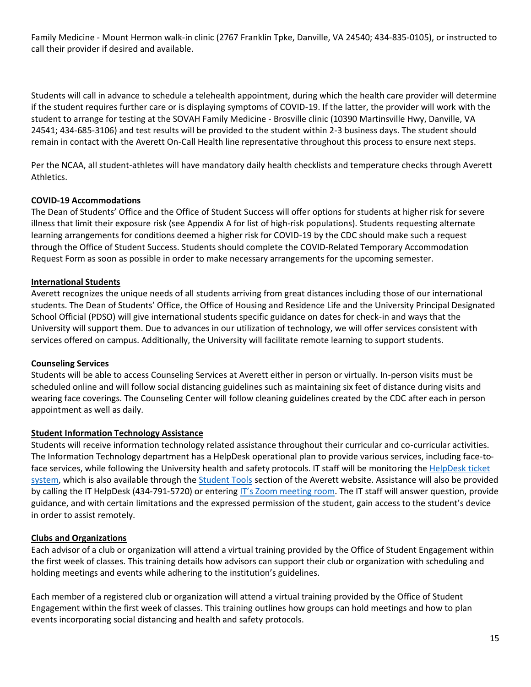Family Medicine - Mount Hermon walk-in clinic (2767 Franklin Tpke, Danville, VA 24540; 434-835-0105), or instructed to call their provider if desired and available.

Students will call in advance to schedule a telehealth appointment, during which the health care provider will determine if the student requires further care or is displaying symptoms of COVID-19. If the latter, the provider will work with the student to arrange for testing at the SOVAH Family Medicine - Brosville clinic (10390 Martinsville Hwy, Danville, VA 24541; 434-685-3106) and test results will be provided to the student within 2-3 business days. The student should remain in contact with the Averett On-Call Health line representative throughout this process to ensure next steps.

Per the NCAA, all student-athletes will have mandatory daily health checklists and temperature checks through Averett Athletics.

## **COVID-19 Accommodations**

The Dean of Students' Office and the Office of Student Success will offer options for students at higher risk for severe illness that limit their exposure risk (see Appendix A for list of high-risk populations). Students requesting alternate learning arrangements for conditions deemed a higher risk for COVID-19 by the CDC should make such a request through the Office of Student Success. Students should complete the COVID-Related Temporary Accommodation Request Form as soon as possible in order to make necessary arrangements for the upcoming semester.

#### **International Students**

Averett recognizes the unique needs of all students arriving from great distances including those of our international students. The Dean of Students' Office, the Office of Housing and Residence Life and the University Principal Designated School Official (PDSO) will give international students specific guidance on dates for check-in and ways that the University will support them. Due to advances in our utilization of technology, we will offer services consistent with services offered on campus. Additionally, the University will facilitate remote learning to support students.

#### **Counseling Services**

Students will be able to access Counseling Services at Averett either in person or virtually. In-person visits must be scheduled online and will follow social distancing guidelines such as maintaining six feet of distance during visits and wearing face coverings. The Counseling Center will follow cleaning guidelines created by the CDC after each in person appointment as well as daily.

#### **Student Information Technology Assistance**

Students will receive information technology related assistance throughout their curricular and co-curricular activities. The Information Technology department has a HelpDesk operational plan to provide various services, including face-toface services, while following the University health and safety protocols. IT staff will be monitoring the [HelpDesk ticket](https://ithelpdesk.averett.edu/)  [system,](https://ithelpdesk.averett.edu/) which is also available through the [Student Tools](https://www.averett.edu/student-tools/) section of the Averett website. Assistance will also be provided by calling the IT HelpDesk (434-791-5720) or entering [IT's Zoom m](https://averett.zoom.us/j/5268662106)eeting room. The IT staff will answer question, provide guidance, and with certain limitations and the expressed permission of the student, gain access to the student's device in order to assist remotely.

# **Clubs and Organizations**

Each advisor of a club or organization will attend a virtual training provided by the Office of Student Engagement within the first week of classes. This training details how advisors can support their club or organization with scheduling and holding meetings and events while adhering to the institution's guidelines.

Each member of a registered club or organization will attend a virtual training provided by the Office of Student Engagement within the first week of classes. This training outlines how groups can hold meetings and how to plan events incorporating social distancing and health and safety protocols.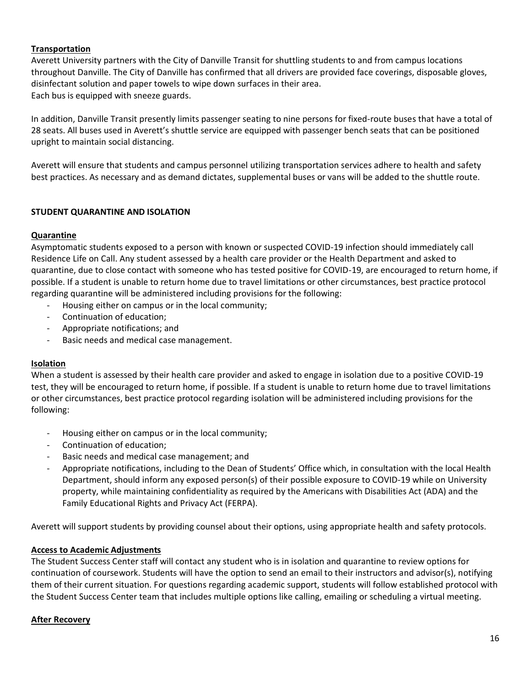## **Transportation**

Averett University partners with the City of Danville Transit for shuttling students to and from campus locations throughout Danville. The City of Danville has confirmed that all drivers are provided face coverings, disposable gloves, disinfectant solution and paper towels to wipe down surfaces in their area. Each bus is equipped with sneeze guards.

In addition, Danville Transit presently limits passenger seating to nine persons for fixed-route buses that have a total of 28 seats. All buses used in Averett's shuttle service are equipped with passenger bench seats that can be positioned upright to maintain social distancing.

Averett will ensure that students and campus personnel utilizing transportation services adhere to health and safety best practices. As necessary and as demand dictates, supplemental buses or vans will be added to the shuttle route.

## **STUDENT QUARANTINE AND ISOLATION**

#### **Quarantine**

Asymptomatic students exposed to a person with known or suspected COVID-19 infection should immediately call Residence Life on Call. Any student assessed by a health care provider or the Health Department and asked to quarantine, due to close contact with someone who has tested positive for COVID-19, are encouraged to return home, if possible. If a student is unable to return home due to travel limitations or other circumstances, best practice protocol regarding quarantine will be administered including provisions for the following:

- Housing either on campus or in the local community;
- Continuation of education;
- Appropriate notifications; and
- Basic needs and medical case management.

#### **Isolation**

When a student is assessed by their health care provider and asked to engage in isolation due to a positive COVID-19 test, they will be encouraged to return home, if possible. If a student is unable to return home due to travel limitations or other circumstances, best practice protocol regarding isolation will be administered including provisions for the following:

- Housing either on campus or in the local community;
- Continuation of education;
- Basic needs and medical case management; and
- Appropriate notifications, including to the Dean of Students' Office which, in consultation with the local Health Department, should inform any exposed person(s) of their possible exposure to COVID-19 while on University property, while maintaining confidentiality as required by the Americans with Disabilities Act (ADA) and the Family Educational Rights and Privacy Act (FERPA).

Averett will support students by providing counsel about their options, using appropriate health and safety protocols.

#### **Access to Academic Adjustments**

The Student Success Center staff will contact any student who is in isolation and quarantine to review options for continuation of coursework. Students will have the option to send an email to their instructors and advisor(s), notifying them of their current situation. For questions regarding academic support, students will follow established protocol with the Student Success Center team that includes multiple options like calling, emailing or scheduling a virtual meeting.

#### **After Recovery**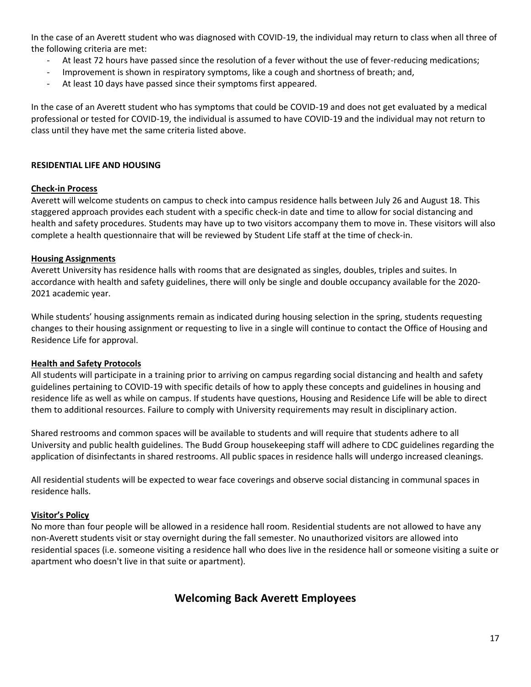In the case of an Averett student who was diagnosed with COVID-19, the individual may return to class when all three of the following criteria are met:

- At least 72 hours have passed since the resolution of a fever without the use of fever-reducing medications;
- Improvement is shown in respiratory symptoms, like a cough and shortness of breath; and,
- At least 10 days have passed since their symptoms first appeared.

In the case of an Averett student who has symptoms that could be COVID-19 and does not get evaluated by a medical professional or tested for COVID-19, the individual is assumed to have COVID-19 and the individual may not return to class until they have met the same criteria listed above.

#### **RESIDENTIAL LIFE AND HOUSING**

#### **Check-in Process**

Averett will welcome students on campus to check into campus residence halls between July 26 and August 18. This staggered approach provides each student with a specific check-in date and time to allow for social distancing and health and safety procedures. Students may have up to two visitors accompany them to move in. These visitors will also complete a health questionnaire that will be reviewed by Student Life staff at the time of check-in.

#### **Housing Assignments**

Averett University has residence halls with rooms that are designated as singles, doubles, triples and suites. In accordance with health and safety guidelines, there will only be single and double occupancy available for the 2020- 2021 academic year.

While students' housing assignments remain as indicated during housing selection in the spring, students requesting changes to their housing assignment or requesting to live in a single will continue to contact the Office of Housing and Residence Life for approval.

#### **Health and Safety Protocols**

All students will participate in a training prior to arriving on campus regarding social distancing and health and safety guidelines pertaining to COVID-19 with specific details of how to apply these concepts and guidelines in housing and residence life as well as while on campus. If students have questions, Housing and Residence Life will be able to direct them to additional resources. Failure to comply with University requirements may result in disciplinary action.

Shared restrooms and common spaces will be available to students and will require that students adhere to all University and public health guidelines. The Budd Group housekeeping staff will adhere to CDC guidelines regarding the application of disinfectants in shared restrooms. All public spaces in residence halls will undergo increased cleanings.

All residential students will be expected to wear face coverings and observe social distancing in communal spaces in residence halls.

#### **Visitor's Policy**

No more than four people will be allowed in a residence hall room. Residential students are not allowed to have any non-Averett students visit or stay overnight during the fall semester. No unauthorized visitors are allowed into residential spaces (i.e. someone visiting a residence hall who does live in the residence hall or someone visiting a suite or apartment who doesn't live in that suite or apartment).

# **Welcoming Back Averett Employees**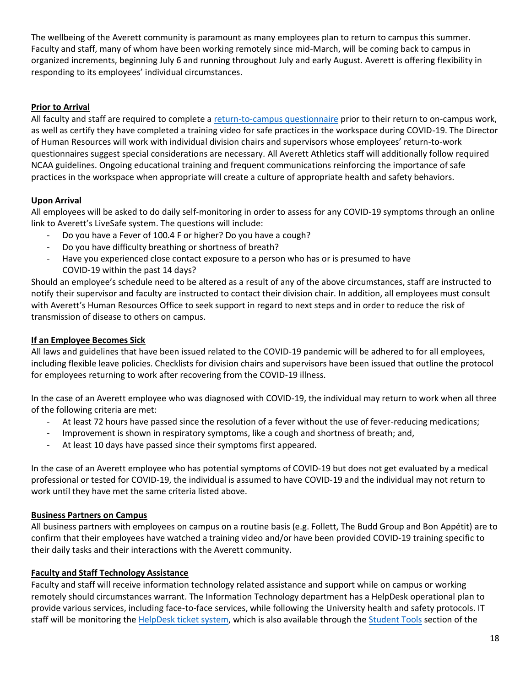The wellbeing of the Averett community is paramount as many employees plan to return to campus this summer. Faculty and staff, many of whom have been working remotely since mid-March, will be coming back to campus in organized increments, beginning July 6 and running throughout July and early August. Averett is offering flexibility in responding to its employees' individual circumstances.

# **Prior to Arrival**

All faculty and staff are required to complete a [return-to-campus questionnaire](https://www.averett.edu/wp-content/uploads/Return-to-Work-Employee-Questionnaire.pdf) prior to their return to on-campus work, as well as certify they have completed a training video for safe practices in the workspace during COVID-19. The Director of Human Resources will work with individual division chairs and supervisors whose employees' return-to-work questionnaires suggest special considerations are necessary. All Averett Athletics staff will additionally follow required NCAA guidelines. Ongoing educational training and frequent communications reinforcing the importance of safe practices in the workspace when appropriate will create a culture of appropriate health and safety behaviors.

# **Upon Arrival**

All employees will be asked to do daily self-monitoring in order to assess for any COVID-19 symptoms through an online link to Averett's LiveSafe system. The questions will include:

- Do you have a Fever of 100.4 F or higher? Do you have a cough?
- Do you have difficulty breathing or shortness of breath?
- Have you experienced close contact exposure to a person who has or is presumed to have COVID-19 within the past 14 days?

Should an employee's schedule need to be altered as a result of any of the above circumstances, staff are instructed to notify their supervisor and faculty are instructed to contact their division chair. In addition, all employees must consult with Averett's Human Resources Office to seek support in regard to next steps and in order to reduce the risk of transmission of disease to others on campus.

# **If an Employee Becomes Sick**

All laws and guidelines that have been issued related to the COVID-19 pandemic will be adhered to for all employees, including flexible leave policies. Checklists for division chairs and supervisors have been issued that outline the protocol for employees returning to work after recovering from the COVID-19 illness.

In the case of an Averett employee who was diagnosed with COVID-19, the individual may return to work when all three of the following criteria are met:

- At least 72 hours have passed since the resolution of a fever without the use of fever-reducing medications;
- Improvement is shown in respiratory symptoms, like a cough and shortness of breath; and,
- At least 10 days have passed since their symptoms first appeared.

In the case of an Averett employee who has potential symptoms of COVID-19 but does not get evaluated by a medical professional or tested for COVID-19, the individual is assumed to have COVID-19 and the individual may not return to work until they have met the same criteria listed above.

# **Business Partners on Campus**

All business partners with employees on campus on a routine basis (e.g. Follett, The Budd Group and Bon Appétit) are to confirm that their employees have watched a training video and/or have been provided COVID-19 training specific to their daily tasks and their interactions with the Averett community.

# **Faculty and Staff Technology Assistance**

Faculty and staff will receive information technology related assistance and support while on campus or working remotely should circumstances warrant. The Information Technology department has a HelpDesk operational plan to provide various services, including face-to-face services, while following the University health and safety protocols. IT staff will be monitoring th[e HelpDesk ticket system,](https://ithelpdesk.averett.edu/) which is also available through the [Student Tools](https://www.averett.edu/student-tools/) section of the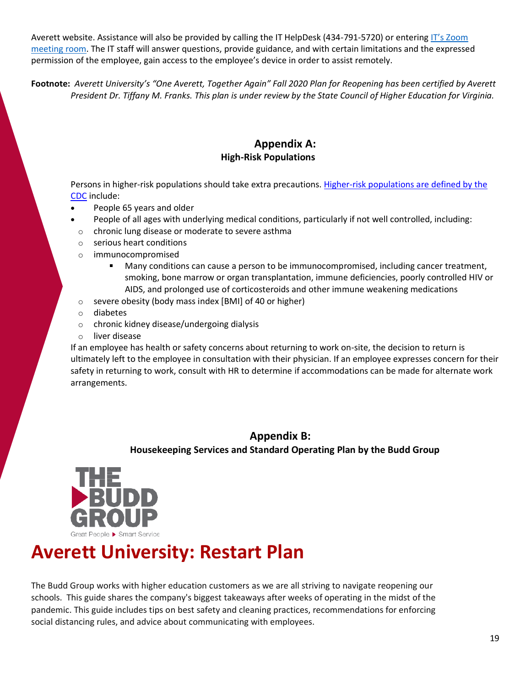Averett website. Assistance will also be provided by calling the IT HelpDesk (434-791-5720) or entering IT's Zoom [meeting](https://averett.zoom.us/j/5268662106) room. The IT staff will answer questions, provide guidance, and with certain limitations and the expressed permission of the employee, gain access to the employee's device in order to assist remotely.

**Footnote:** *Averett University's "One Averett, Together Again" Fall 2020 Plan for Reopening has been certified by Averett President Dr. Tiffany M. Franks. This plan is under review by the State Council of Higher Education for Virginia.*

# **Appendix A: High-Risk Populations**

Persons in higher-risk populations should take extra precautions[. Higher-risk populations are](https://www.cdc.gov/coronavirus/2019-ncov/need-extra-precautions/people-at-higher-risk.html) defined by the [CDC](https://www.cdc.gov/coronavirus/2019-ncov/need-extra-precautions/people-at-higher-risk.html) include:

- People 65 years and older
- People of all ages with underlying medical conditions, particularly if not well controlled, including:
- o chronic lung disease or moderate to severe asthma
- o serious heart conditions
- o immunocompromised
	- Many conditions can cause a person to be immunocompromised, including cancer treatment, smoking, bone marrow or organ transplantation, immune deficiencies, poorly controlled HIV or AIDS, and prolonged use of corticosteroids and other immune weakening medications
- o severe obesity (body mass index [BMI] of 40 or higher)
- o diabetes
- o chronic kidney disease/undergoing dialysis
- o liver disease

If an employee has health or safety concerns about returning to work on-site, the decision to return is ultimately left to the employee in consultation with their physician. If an employee expresses concern for their safety in returning to work, consult with HR to determine if accommodations can be made for alternate work arrangements.

# **Appendix B: Housekeeping Services and Standard Operating Plan by the Budd Group**



# **Averett University: Restart Plan**

The Budd Group works with higher education customers as we are all striving to navigate reopening our schools. This guide shares the company's biggest takeaways after weeks of operating in the midst of the pandemic. This guide includes tips on best safety and cleaning practices, recommendations for enforcing social distancing rules, and advice about communicating with employees.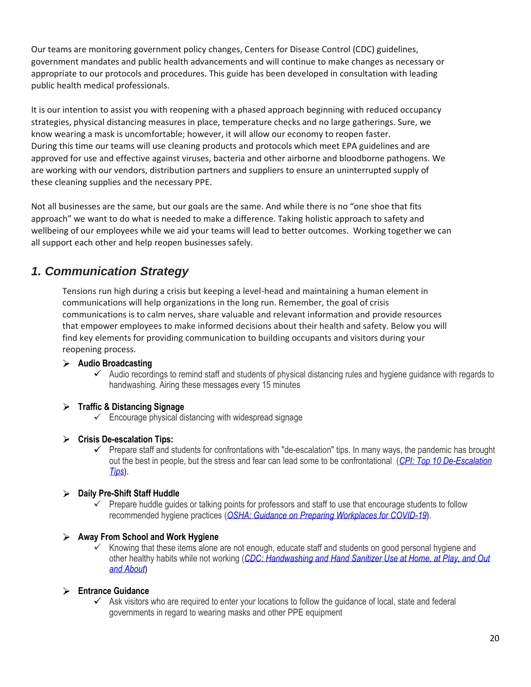Our teams are monitoring government policy changes, Centers for Disease Control (CDC) guidelines, government mandates and public health advancements and will continue to make changes as necessary or appropriate to our protocols and procedures. This guide has been developed in consultation with leading public health medical professionals.

It is our intention to assist you with reopening with a phased approach beginning with reduced occupancy strategies, physical distancing measures in place, temperature checks and no large gatherings. Sure, we know wearing a mask is uncomfortable; however, it will allow our economy to reopen faster. During this time our teams will use cleaning products and protocols which meet EPA guidelines and are approved for use and effective against viruses, bacteria and other airborne and bloodborne pathogens. We are working with our vendors, distribution partners and suppliers to ensure an uninterrupted supply of these cleaning supplies and the necessary PPE.

Not all businesses are the same, but our goals are the same. And while there is no "one shoe that fits approach" we want to do what is needed to make a difference. Taking holistic approach to safety and wellbeing of our employees while we aid your teams will lead to better outcomes. Working together we can all support each other and help reopen businesses safely.

# *1. Communication Strategy*

Tensions run high during a crisis but keeping a level-head and maintaining a human element in communications will help organizations in the long run. Remember, the goal of crisis communications is to calm nerves, share valuable and relevant information and provide resources that empower employees to make informed decisions about their health and safety. Below you will find key elements for providing communication to building occupants and visitors during your reopening process.

# **Audio Broadcasting**

 $\checkmark$  Audio recordings to remind staff and students of physical distancing rules and hygiene guidance with regards to handwashing. Airing these messages every 15 minutes

# **Traffic & Distancing Signage**

- $\checkmark$  Encourage physical distancing with widespread signage
- **Crisis De-escalation Tips:**
	- $\checkmark$  Prepare staff and students for confrontations with "de-escalation" tips. In many ways, the pandemic has brought out the best in people, but the stress and fear can lead some to be confrontational (*[CPI: Top 10 De-Escalation](https://www.robeson.k12.nc.us/site/handlers/filedownload.ashx?moduleinstanceid=41936&dataid=117911&FileName=CPI-s-Top-10-De-Escalation-Tip.pdf)  [Tips](https://www.robeson.k12.nc.us/site/handlers/filedownload.ashx?moduleinstanceid=41936&dataid=117911&FileName=CPI-s-Top-10-De-Escalation-Tip.pdf)*).

# **Daily Pre-Shift Staff Huddle**

 $\checkmark$  Prepare huddle guides or talking points for professors and staff to use that encourage students to follow recommended hygiene practices (*[OSHA: Guidance on Preparing Workplaces for COVID-19](https://www.osha.gov/Publications/OSHA3990.pdf)*).

# **Away From School and Work Hygiene**

Knowing that these items alone are not enough, educate staff and students on good personal hygiene and other healthy habits while not working (*[CDC: Handwashing and Hand Sanitizer Use at Home, at Play, and Out](https://www.cdc.gov/handwashing/pdf/hand-sanitizer-factsheet.pdf)  [and About](https://www.cdc.gov/handwashing/pdf/hand-sanitizer-factsheet.pdf)*)

# **Entrance Guidance**

 $\checkmark$  Ask visitors who are required to enter your locations to follow the guidance of local, state and federal governments in regard to wearing masks and other PPE equipment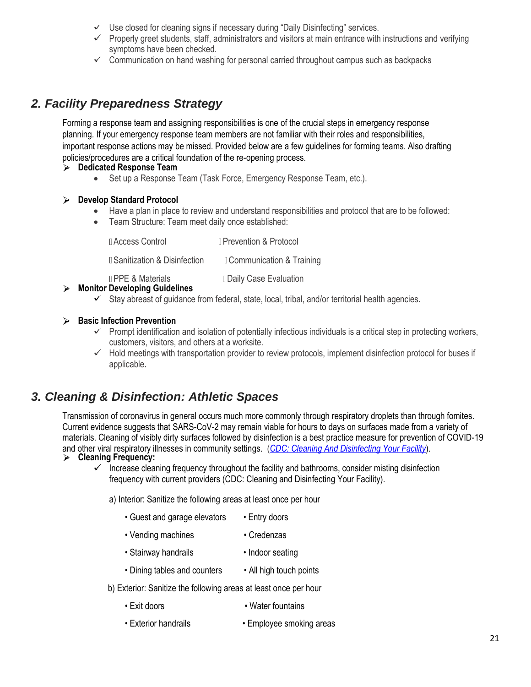- $\checkmark$  Use closed for cleaning signs if necessary during "Daily Disinfecting" services.
- $\checkmark$  Properly greet students, staff, administrators and visitors at main entrance with instructions and verifying symptoms have been checked.
- $\checkmark$  Communication on hand washing for personal carried throughout campus such as backpacks

# *2. Facility Preparedness Strategy*

Forming a response team and assigning responsibilities is one of the crucial steps in emergency response planning. If your emergency response team members are not familiar with their roles and responsibilities, important response actions may be missed. Provided below are a few guidelines for forming teams. Also drafting policies/procedures are a critical foundation of the re-opening process.

- **Dedicated Response Team**
	- Set up a Response Team (Task Force, Emergency Response Team, etc.).

# **Develop Standard Protocol**

- Have a plan in place to review and understand responsibilities and protocol that are to be followed:
- Team Structure: Team meet daily once established:

| <b>LAccess Control</b>               | <b>I</b> Prevention & Protocol      |
|--------------------------------------|-------------------------------------|
| <b>I</b> Sanitization & Disinfection | <b>Communication &amp; Training</b> |
| <b>IPPE &amp; Materials</b>          | <b>Daily Case Evaluation</b>        |

# **Monitor Developing Guidelines**

 $\checkmark$  Stay abreast of guidance from federal, state, local, tribal, and/or territorial health agencies.

# **Basic Infection Prevention**

- $\checkmark$  Prompt identification and isolation of potentially infectious individuals is a critical step in protecting workers, customers, visitors, and others at a worksite.
- $\checkmark$  Hold meetings with transportation provider to review protocols, implement disinfection protocol for buses if applicable.

# *3. Cleaning & Disinfection: Athletic Spaces*

Transmission of coronavirus in general occurs much more commonly through respiratory droplets than through fomites. Current evidence suggests that SARS-CoV-2 may remain viable for hours to days on surfaces made from a variety of materials. Cleaning of visibly dirty surfaces followed by disinfection is a best practice measure for prevention of COVID-19 and other viral respiratory illnesses in community settings. (*[CDC: Cleaning And Disinfecting Your Facility](https://www.cdc.gov/coronavirus/2019-ncov/community/disinfecting-building-facility-H.pdf)*). **Cleaning Frequency:**

 $\checkmark$  Increase cleaning frequency throughout the facility and bathrooms, consider misting disinfection frequency with current providers (CDC: Cleaning and Disinfecting Your Facility).

a) Interior: Sanitize the following areas at least once per hour

- Guest and garage elevators Entry doors
- Vending machines Credenzas
- Stairway handrails Indoor seating
- Dining tables and counters All high touch points
- b) Exterior: Sanitize the following areas at least once per hour
	- Exit doors Water fountains
	- Exterior handrails Employee smoking areas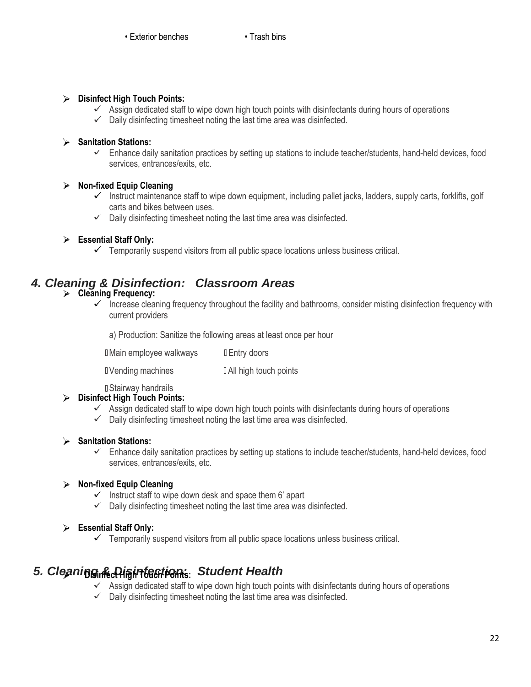# **Disinfect High Touch Points:**

- $\checkmark$  Assign dedicated staff to wipe down high touch points with disinfectants during hours of operations
- $\checkmark$  Daily disinfecting timesheet noting the last time area was disinfected.

# **Sanitation Stations:**

 $\checkmark$  Enhance daily sanitation practices by setting up stations to include teacher/students, hand-held devices, food services, entrances/exits, etc.

# **Non-fixed Equip Cleaning**

- Instruct maintenance staff to wipe down equipment, including pallet jacks, ladders, supply carts, forklifts, golf carts and bikes between uses.
- $\checkmark$  Daily disinfecting timesheet noting the last time area was disinfected.

# **Essential Staff Only:**

 $\checkmark$  Temporarily suspend visitors from all public space locations unless business critical.

# *4. Cleaning & Disinfection: Classroom Areas*

# **Cleaning Frequency:**

 $\checkmark$  Increase cleaning frequency throughout the facility and bathrooms, consider misting disinfection frequency with current providers

a) Production: Sanitize the following areas at least once per hour

**I** Main employee walkways I Entry doors

I Vending machines I All high touch points

D Stairway handrails

# **Disinfect High Touch Points:**

- $\checkmark$  Assign dedicated staff to wipe down high touch points with disinfectants during hours of operations
- $\checkmark$  Daily disinfecting timesheet noting the last time area was disinfected.

# **Sanitation Stations:**

 $\checkmark$  Enhance daily sanitation practices by setting up stations to include teacher/students, hand-held devices, food services, entrances/exits, etc.

# **Non-fixed Equip Cleaning**

- $\checkmark$  Instruct staff to wipe down desk and space them 6' apart
- $\checkmark$  Daily disinfecting timesheet noting the last time area was disinfected.

# **Essential Staff Only:**

 $\checkmark$  Temporarily suspend visitors from all public space locations unless business critical.

# *5. Cleaning & Disinfection* **Disinfect High Touch Points:** *: Student Health*

- $\checkmark$  Assign dedicated staff to wipe down high touch points with disinfectants during hours of operations
- $\checkmark$  Daily disinfecting timesheet noting the last time area was disinfected.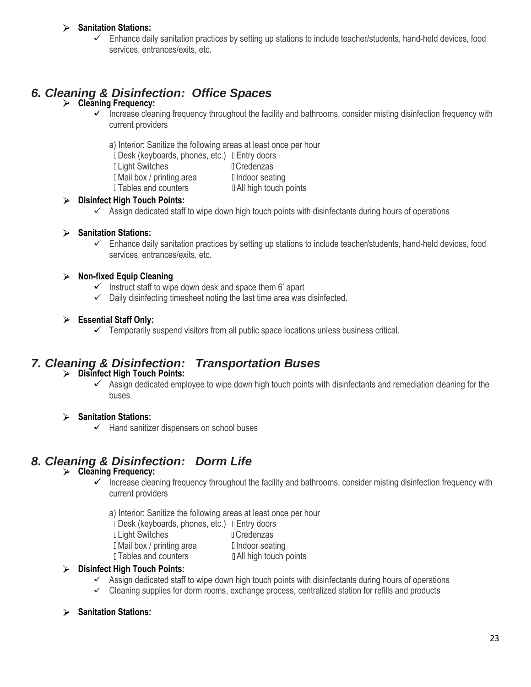# **Sanitation Stations:**

 $\checkmark$  Enhance daily sanitation practices by setting up stations to include teacher/students, hand-held devices, food services, entrances/exits, etc.

# *6. Cleaning & Disinfection: Office Spaces*

# **Cleaning Frequency:**

- Increase cleaning frequency throughout the facility and bathrooms, consider misting disinfection frequency with current providers
	- a) Interior: Sanitize the following areas at least once per hour
	- Desk (keyboards, phones, etc.) DEntry doors
	- Duight Switches **Credenzas**
	- **I** Mail box / printing area II Indoor seating
- - $\Box$  Tables and counters  $\Box$  All high touch points

# **Disinfect High Touch Points:**

 $\checkmark$  Assign dedicated staff to wipe down high touch points with disinfectants during hours of operations

# **Sanitation Stations:**

 $\checkmark$  Enhance daily sanitation practices by setting up stations to include teacher/students, hand-held devices, food services, entrances/exits, etc.

# **Non-fixed Equip Cleaning**

- $\checkmark$  Instruct staff to wipe down desk and space them 6' apart
- $\checkmark$  Daily disinfecting timesheet noting the last time area was disinfected.

# **Essential Staff Only:**

 $\checkmark$  Temporarily suspend visitors from all public space locations unless business critical.

# *7. Cleaning & Disinfection: Transportation Buses*

# **Disinfect High Touch Points:**

 $\checkmark$  Assign dedicated employee to wipe down high touch points with disinfectants and remediation cleaning for the buses.

# **Sanitation Stations:**

 $\checkmark$  Hand sanitizer dispensers on school buses

# *8. Cleaning & Disinfection: Dorm Life*

# **Cleaning Frequency:**

- $\checkmark$  Increase cleaning frequency throughout the facility and bathrooms, consider misting disinfection frequency with current providers
	- a) Interior: Sanitize the following areas at least once per hour
	- Desk (keyboards, phones, etc.) DEntry doors
	- D Light Switches **Credenzas**
	- I Mail box / printing area I Indoor seating
	- **Tables and counters All high touch points**

# **Disinfect High Touch Points:**

- $\checkmark$  Assign dedicated staff to wipe down high touch points with disinfectants during hours of operations
- $\checkmark$  Cleaning supplies for dorm rooms, exchange process, centralized station for refills and products

# **Sanitation Stations:**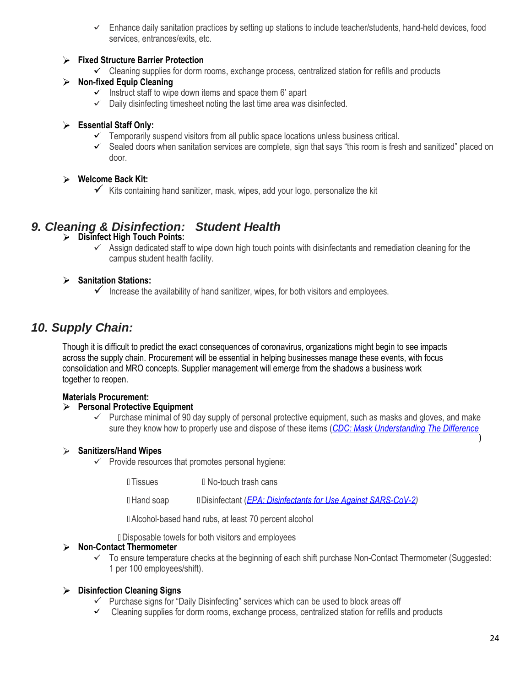$\checkmark$  Enhance daily sanitation practices by setting up stations to include teacher/students, hand-held devices, food services, entrances/exits, etc.

# **Fixed Structure Barrier Protection**

 $\checkmark$  Cleaning supplies for dorm rooms, exchange process, centralized station for refills and products

# **Non-fixed Equip Cleaning**

- $\checkmark$  Instruct staff to wipe down items and space them 6' apart
- $\checkmark$  Daily disinfecting timesheet noting the last time area was disinfected.

# **Essential Staff Only:**

- $\checkmark$  Temporarily suspend visitors from all public space locations unless business critical.
- $\checkmark$  Sealed doors when sanitation services are complete, sign that says "this room is fresh and sanitized" placed on door.

# **Welcome Back Kit:**

Kits containing hand sanitizer, mask, wipes, add your logo, personalize the kit

# *9. Cleaning & Disinfection: Student Health*

- **Disinfect High Touch Points:**
	- $\checkmark$  Assign dedicated staff to wipe down high touch points with disinfectants and remediation cleaning for the campus student health facility.

# **Sanitation Stations:**

 $\checkmark$  Increase the availability of hand sanitizer, wipes, for both visitors and employees.

# *10. Supply Chain:*

Though it is difficult to predict the exact consequences of coronavirus, organizations might begin to see impacts across the supply chain. Procurement will be essential in helping businesses manage these events, with focus consolidation and MRO concepts. Supplier management will emerge from the shadows a business work together to reopen.

# **Materials Procurement:**

# **Personal Protective Equipment**

 $\checkmark$  Purchase minimal of 90 day supply of personal protective equipment, such as masks and gloves, and make sure they know how to properly use and dispose of these items (*[CDC: Mask Understanding The Difference](https://www.cdc.gov/niosh/npptl/pdfs/UnderstandDifferenceInfographic-508.pdf)*

# **Sanitizers/Hand Wipes**

- $\checkmark$  Provide resources that promotes personal hygiene:
	- I Tissues I No-touch trash cans

Hand soap Disinfectant (*[EPA: Disinfectants for Use Against SARS-CoV-2\)](https://www.epa.gov/pesticide-registration/list-n-disinfectants-use-against-sars-cov-2)*

Alcohol-based hand rubs, at least 70 percent alcohol

Disposable towels for both visitors and employees

# **Non-Contact Thermometer**

 $\checkmark$  To ensure temperature checks at the beginning of each shift purchase Non-Contact Thermometer (Suggested: 1 per 100 employees/shift).

# **Disinfection Cleaning Signs**

- $\checkmark$  Purchase signs for "Daily Disinfecting" services which can be used to block areas off
- $\checkmark$  Cleaning supplies for dorm rooms, exchange process, centralized station for refills and products

)